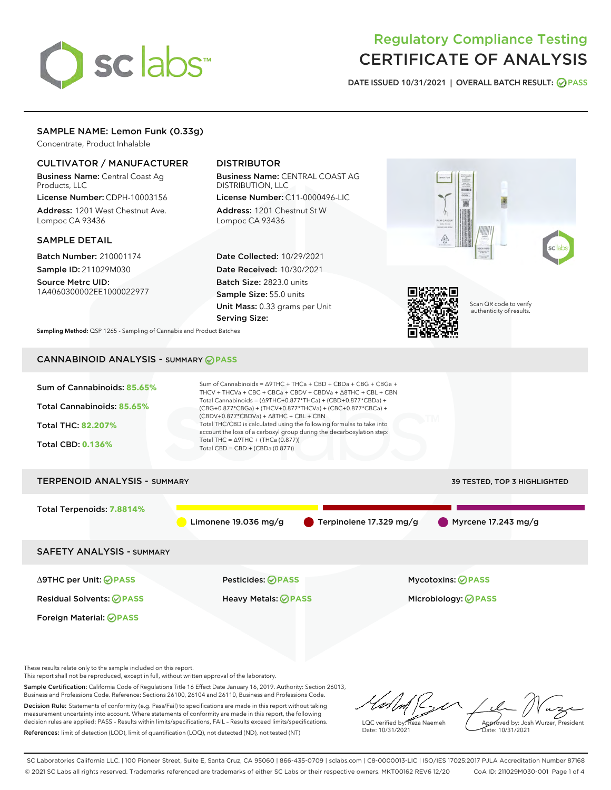

# Regulatory Compliance Testing CERTIFICATE OF ANALYSIS

DATE ISSUED 10/31/2021 | OVERALL BATCH RESULT: @ PASS

### SAMPLE NAME: Lemon Funk (0.33g)

Concentrate, Product Inhalable

### CULTIVATOR / MANUFACTURER

Business Name: Central Coast Ag Products, LLC

License Number: CDPH-10003156 Address: 1201 West Chestnut Ave. Lompoc CA 93436

#### SAMPLE DETAIL

Batch Number: 210001174 Sample ID: 211029M030

Source Metrc UID: 1A4060300002EE1000022977

### DISTRIBUTOR

Business Name: CENTRAL COAST AG DISTRIBUTION, LLC License Number: C11-0000496-LIC

Address: 1201 Chestnut St W Lompoc CA 93436

Date Collected: 10/29/2021 Date Received: 10/30/2021 Batch Size: 2823.0 units Sample Size: 55.0 units Unit Mass: 0.33 grams per Unit Serving Size:





Scan QR code to verify authenticity of results.

Sampling Method: QSP 1265 - Sampling of Cannabis and Product Batches

# CANNABINOID ANALYSIS - SUMMARY **PASS**



These results relate only to the sample included on this report.

This report shall not be reproduced, except in full, without written approval of the laboratory.

Sample Certification: California Code of Regulations Title 16 Effect Date January 16, 2019. Authority: Section 26013, Business and Professions Code. Reference: Sections 26100, 26104 and 26110, Business and Professions Code. Decision Rule: Statements of conformity (e.g. Pass/Fail) to specifications are made in this report without taking

measurement uncertainty into account. Where statements of conformity are made in this report, the following decision rules are applied: PASS – Results within limits/specifications, FAIL – Results exceed limits/specifications. References: limit of detection (LOD), limit of quantification (LOQ), not detected (ND), not tested (NT)

LQC verified by: Reza Naemeh Date: 10/31/2021 Approved by: Josh Wurzer, President Date: 10/31/2021

SC Laboratories California LLC. | 100 Pioneer Street, Suite E, Santa Cruz, CA 95060 | 866-435-0709 | sclabs.com | C8-0000013-LIC | ISO/IES 17025:2017 PJLA Accreditation Number 87168 © 2021 SC Labs all rights reserved. Trademarks referenced are trademarks of either SC Labs or their respective owners. MKT00162 REV6 12/20 CoA ID: 211029M030-001 Page 1 of 4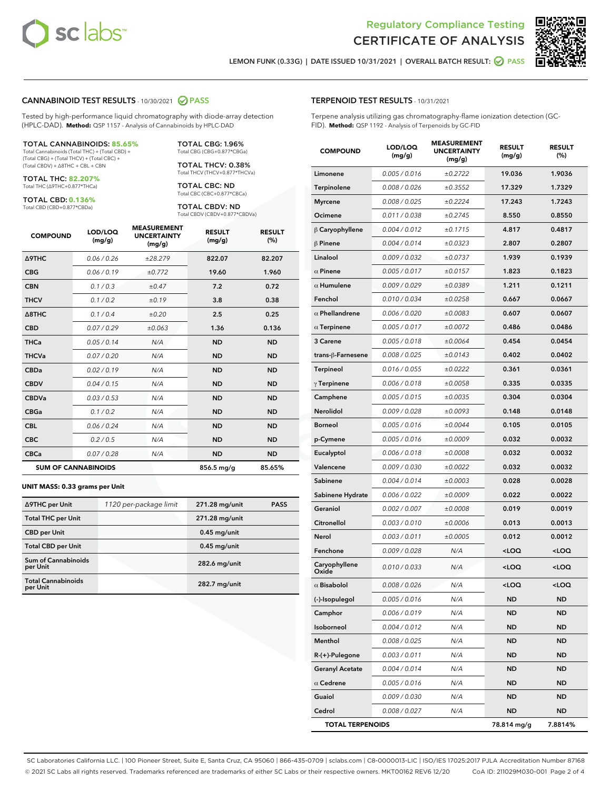



LEMON FUNK (0.33G) | DATE ISSUED 10/31/2021 | OVERALL BATCH RESULT: @ PASS

#### CANNABINOID TEST RESULTS - 10/30/2021 2 PASS

Tested by high-performance liquid chromatography with diode-array detection (HPLC-DAD). **Method:** QSP 1157 - Analysis of Cannabinoids by HPLC-DAD

#### TOTAL CANNABINOIDS: **85.65%**

Total Cannabinoids (Total THC) + (Total CBD) + (Total CBG) + (Total THCV) + (Total CBC) + (Total CBDV) + ∆8THC + CBL + CBN

TOTAL THC: **82.207%** Total THC (∆9THC+0.877\*THCa)

TOTAL CBD: **0.136%** Total CBD (CBD+0.877\*CBDa)

Total THCV (THCV+0.877\*THCVa) TOTAL CBC: ND

TOTAL CBDV: ND Total CBDV (CBDV+0.877\*CBDVa)

Total CBC (CBC+0.877\*CBCa)

TOTAL CBG: 1.96% Total CBG (CBG+0.877\*CBGa) TOTAL THCV: 0.38%

| <b>COMPOUND</b>            | LOD/LOQ<br>(mg/g) | <b>MEASUREMENT</b><br><b>UNCERTAINTY</b><br>(mg/g) | <b>RESULT</b><br>(mg/g) | <b>RESULT</b><br>(%) |
|----------------------------|-------------------|----------------------------------------------------|-------------------------|----------------------|
| Δ9THC                      | 0.06 / 0.26       | ±28.279                                            | 822.07                  | 82.207               |
| <b>CBG</b>                 | 0.06/0.19         | ±0.772                                             | 19.60                   | 1.960                |
| <b>CBN</b>                 | 0.1 / 0.3         | ±0.47                                              | 7.2                     | 0.72                 |
| <b>THCV</b>                | 0.1/0.2           | ±0.19                                              | 3.8                     | 0.38                 |
| $\triangle$ 8THC           | 0.1/0.4           | ±0.20                                              | 2.5                     | 0.25                 |
| <b>CBD</b>                 | 0.07 / 0.29       | ±0.063                                             | 1.36                    | 0.136                |
| <b>THCa</b>                | 0.05/0.14         | N/A                                                | <b>ND</b>               | <b>ND</b>            |
| <b>THCVa</b>               | 0.07/0.20         | N/A                                                | <b>ND</b>               | <b>ND</b>            |
| <b>CBDa</b>                | 0.02/0.19         | N/A                                                | <b>ND</b>               | <b>ND</b>            |
| <b>CBDV</b>                | 0.04 / 0.15       | N/A                                                | <b>ND</b>               | <b>ND</b>            |
| <b>CBDVa</b>               | 0.03/0.53         | N/A                                                | <b>ND</b>               | <b>ND</b>            |
| <b>CBGa</b>                | 0.1 / 0.2         | N/A                                                | <b>ND</b>               | <b>ND</b>            |
| <b>CBL</b>                 | 0.06 / 0.24       | N/A                                                | <b>ND</b>               | <b>ND</b>            |
| <b>CBC</b>                 | 0.2 / 0.5         | N/A                                                | <b>ND</b>               | <b>ND</b>            |
| <b>CBCa</b>                | 0.07 / 0.28       | N/A                                                | <b>ND</b>               | <b>ND</b>            |
| <b>SUM OF CANNABINOIDS</b> |                   |                                                    | $856.5$ mg/g            | 85.65%               |

#### **UNIT MASS: 0.33 grams per Unit**

| ∆9THC per Unit                         | 1120 per-package limit | 271.28 mg/unit | <b>PASS</b> |
|----------------------------------------|------------------------|----------------|-------------|
| <b>Total THC per Unit</b>              |                        | 271.28 mg/unit |             |
| <b>CBD per Unit</b>                    |                        | $0.45$ mg/unit |             |
| <b>Total CBD per Unit</b>              |                        | $0.45$ mg/unit |             |
| <b>Sum of Cannabinoids</b><br>per Unit |                        | 282.6 mg/unit  |             |
| <b>Total Cannabinoids</b><br>per Unit  |                        | 282.7 mg/unit  |             |

#### TERPENOID TEST RESULTS - 10/31/2021

Terpene analysis utilizing gas chromatography-flame ionization detection (GC-FID). **Method:** QSP 1192 - Analysis of Terpenoids by GC-FID

| <b>COMPOUND</b>         | LOD/LOQ<br>(mg/g) | <b>MEASUREMENT</b><br><b>UNCERTAINTY</b><br>(mg/g) | <b>RESULT</b><br>(mg/g)                         | <b>RESULT</b><br>(%) |
|-------------------------|-------------------|----------------------------------------------------|-------------------------------------------------|----------------------|
| Limonene                | 0.005 / 0.016     | ±0.2722                                            | 19.036                                          | 1.9036               |
| Terpinolene             | 0.008 / 0.026     | ±0.3552                                            | 17.329                                          | 1.7329               |
| Myrcene                 | 0.008 / 0.025     | ±0.2224                                            | 17.243                                          | 1.7243               |
| Ocimene                 | 0.011 / 0.038     | ±0.2745                                            | 8.550                                           | 0.8550               |
| $\beta$ Caryophyllene   | 0.004 / 0.012     | ±0.1715                                            | 4.817                                           | 0.4817               |
| $\beta$ Pinene          | 0.004 / 0.014     | ±0.0323                                            | 2.807                                           | 0.2807               |
| Linalool                | 0.009 / 0.032     | ±0.0737                                            | 1.939                                           | 0.1939               |
| $\alpha$ Pinene         | 0.005 / 0.017     | ±0.0157                                            | 1.823                                           | 0.1823               |
| $\alpha$ Humulene       | 0.009/0.029       | ±0.0389                                            | 1.211                                           | 0.1211               |
| Fenchol                 | 0.010 / 0.034     | ±0.0258                                            | 0.667                                           | 0.0667               |
| $\alpha$ Phellandrene   | 0.006 / 0.020     | ±0.0083                                            | 0.607                                           | 0.0607               |
| $\alpha$ Terpinene      | 0.005 / 0.017     | ±0.0072                                            | 0.486                                           | 0.0486               |
| 3 Carene                | 0.005 / 0.018     | ±0.0064                                            | 0.454                                           | 0.0454               |
| trans-ß-Farnesene       | 0.008 / 0.025     | ±0.0143                                            | 0.402                                           | 0.0402               |
| Terpineol               | 0.016 / 0.055     | ±0.0222                                            | 0.361                                           | 0.0361               |
| $\gamma$ Terpinene      | 0.006 / 0.018     | ±0.0058                                            | 0.335                                           | 0.0335               |
| Camphene                | 0.005 / 0.015     | ±0.0035                                            | 0.304                                           | 0.0304               |
| Nerolidol               | 0.009 / 0.028     | ±0.0093                                            | 0.148                                           | 0.0148               |
| Borneol                 | 0.005 / 0.016     | ±0.0044                                            | 0.105                                           | 0.0105               |
| p-Cymene                | 0.005 / 0.016     | ±0.0009                                            | 0.032                                           | 0.0032               |
| Eucalyptol              | 0.006 / 0.018     | ±0.0008                                            | 0.032                                           | 0.0032               |
| Valencene               | 0.009 / 0.030     | ±0.0022                                            | 0.032                                           | 0.0032               |
| Sabinene                | 0.004 / 0.014     | ±0.0003                                            | 0.028                                           | 0.0028               |
| Sabinene Hydrate        | 0.006 / 0.022     | ±0.0009                                            | 0.022                                           | 0.0022               |
| Geraniol                | 0.002 / 0.007     | ±0.0008                                            | 0.019                                           | 0.0019               |
| Citronellol             | 0.003 / 0.010     | ±0.0006                                            | 0.013                                           | 0.0013               |
| Nerol                   | 0.003 / 0.011     | ±0.0005                                            | 0.012                                           | 0.0012               |
| Fenchone                | 0.009 / 0.028     | N/A                                                | <loq< th=""><th><loq< th=""></loq<></th></loq<> | <loq< th=""></loq<>  |
| Caryophyllene<br>Oxide  | 0.010 / 0.033     | N/A                                                | <loq< th=""><th><loq< th=""></loq<></th></loq<> | <loq< th=""></loq<>  |
| $\alpha$ Bisabolol      | 0.008 / 0.026     | N/A                                                | $\sim$ 00                                       | 100 <sub>1</sub>     |
| (-)-Isopulegol          | 0.005 / 0.016     | N/A                                                | ND                                              | ND                   |
| Camphor                 | 0.006 / 0.019     | N/A                                                | ND                                              | ND                   |
| Isoborneol              | 0.004 / 0.012     | N/A                                                | ND                                              | ND                   |
| Menthol                 | 0.008 / 0.025     | N/A                                                | ND                                              | ND                   |
| R-(+)-Pulegone          | 0.003 / 0.011     | N/A                                                | ND                                              | ND                   |
| <b>Geranyl Acetate</b>  | 0.004 / 0.014     | N/A                                                | ND                                              | ND                   |
| $\alpha$ Cedrene        | 0.005 / 0.016     | N/A                                                | ND                                              | ND                   |
| Guaiol                  | 0.009 / 0.030     | N/A                                                | ND                                              | ND                   |
| Cedrol                  | 0.008 / 0.027     | N/A                                                | ND                                              | ND                   |
| <b>TOTAL TERPENOIDS</b> |                   |                                                    | 78.814 mg/g                                     | 7.8814%              |

SC Laboratories California LLC. | 100 Pioneer Street, Suite E, Santa Cruz, CA 95060 | 866-435-0709 | sclabs.com | C8-0000013-LIC | ISO/IES 17025:2017 PJLA Accreditation Number 87168 © 2021 SC Labs all rights reserved. Trademarks referenced are trademarks of either SC Labs or their respective owners. MKT00162 REV6 12/20 CoA ID: 211029M030-001 Page 2 of 4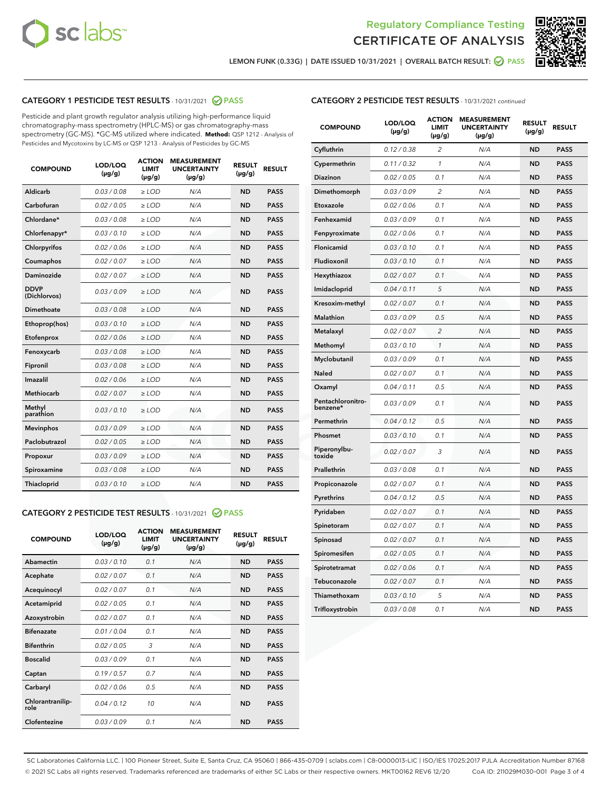



LEMON FUNK (0.33G) | DATE ISSUED 10/31/2021 | OVERALL BATCH RESULT:  $\bigcirc$  PASS

# CATEGORY 1 PESTICIDE TEST RESULTS - 10/31/2021 2 PASS

Pesticide and plant growth regulator analysis utilizing high-performance liquid chromatography-mass spectrometry (HPLC-MS) or gas chromatography-mass spectrometry (GC-MS). \*GC-MS utilized where indicated. **Method:** QSP 1212 - Analysis of Pesticides and Mycotoxins by LC-MS or QSP 1213 - Analysis of Pesticides by GC-MS

| <b>COMPOUND</b>             | LOD/LOQ<br>$(\mu g/g)$ | <b>ACTION</b><br><b>LIMIT</b><br>$(\mu g/g)$ | <b>MEASUREMENT</b><br><b>UNCERTAINTY</b><br>$(\mu g/g)$ | <b>RESULT</b><br>$(\mu g/g)$ | <b>RESULT</b> |
|-----------------------------|------------------------|----------------------------------------------|---------------------------------------------------------|------------------------------|---------------|
| Aldicarb                    | 0.03 / 0.08            | $\geq$ LOD                                   | N/A                                                     | <b>ND</b>                    | <b>PASS</b>   |
| Carbofuran                  | 0.02/0.05              | $>$ LOD                                      | N/A                                                     | <b>ND</b>                    | <b>PASS</b>   |
| Chlordane*                  | 0.03 / 0.08            | ≥ LOD                                        | N/A                                                     | <b>ND</b>                    | <b>PASS</b>   |
| Chlorfenapyr*               | 0.03/0.10              | $\ge$ LOD                                    | N/A                                                     | <b>ND</b>                    | <b>PASS</b>   |
| Chlorpyrifos                | 0.02 / 0.06            | $\geq$ LOD                                   | N/A                                                     | <b>ND</b>                    | <b>PASS</b>   |
| Coumaphos                   | 0.02 / 0.07            | $>$ LOD                                      | N/A                                                     | <b>ND</b>                    | <b>PASS</b>   |
| Daminozide                  | 0.02 / 0.07            | $\geq$ LOD                                   | N/A                                                     | <b>ND</b>                    | <b>PASS</b>   |
| <b>DDVP</b><br>(Dichlorvos) | 0.03/0.09              | $\geq$ LOD                                   | N/A                                                     | <b>ND</b>                    | <b>PASS</b>   |
| <b>Dimethoate</b>           | 0.03 / 0.08            | $\ge$ LOD                                    | N/A                                                     | <b>ND</b>                    | <b>PASS</b>   |
| Ethoprop(hos)               | 0.03/0.10              | $>$ LOD                                      | N/A                                                     | <b>ND</b>                    | <b>PASS</b>   |
| Etofenprox                  | 0.02 / 0.06            | $\geq$ LOD                                   | N/A                                                     | <b>ND</b>                    | <b>PASS</b>   |
| Fenoxycarb                  | 0.03 / 0.08            | $>$ LOD                                      | N/A                                                     | <b>ND</b>                    | <b>PASS</b>   |
| Fipronil                    | 0.03 / 0.08            | $\geq$ LOD                                   | N/A                                                     | <b>ND</b>                    | <b>PASS</b>   |
| Imazalil                    | 0.02 / 0.06            | $\geq$ LOD                                   | N/A                                                     | <b>ND</b>                    | <b>PASS</b>   |
| <b>Methiocarb</b>           | 0.02 / 0.07            | ≥ LOD                                        | N/A                                                     | <b>ND</b>                    | <b>PASS</b>   |
| Methyl<br>parathion         | 0.03/0.10              | $>$ LOD                                      | N/A                                                     | <b>ND</b>                    | <b>PASS</b>   |
| <b>Mevinphos</b>            | 0.03/0.09              | $>$ LOD                                      | N/A                                                     | <b>ND</b>                    | <b>PASS</b>   |
| Paclobutrazol               | 0.02 / 0.05            | $\geq$ LOD                                   | N/A                                                     | <b>ND</b>                    | <b>PASS</b>   |
| Propoxur                    | 0.03/0.09              | ≥ LOD                                        | N/A                                                     | <b>ND</b>                    | <b>PASS</b>   |
| Spiroxamine                 | 0.03 / 0.08            | $\ge$ LOD                                    | N/A                                                     | <b>ND</b>                    | <b>PASS</b>   |
| <b>Thiacloprid</b>          | 0.03/0.10              | $\geq$ LOD                                   | N/A                                                     | <b>ND</b>                    | <b>PASS</b>   |
|                             |                        |                                              |                                                         |                              |               |

# CATEGORY 2 PESTICIDE TEST RESULTS - 10/31/2021 @ PASS

| <b>COMPOUND</b>          | LOD/LOO<br>$(\mu g/g)$ | <b>ACTION</b><br>LIMIT<br>$(\mu g/g)$ | <b>MEASUREMENT</b><br><b>UNCERTAINTY</b><br>$(\mu g/g)$ | <b>RESULT</b><br>$(\mu g/g)$ | <b>RESULT</b> |  |
|--------------------------|------------------------|---------------------------------------|---------------------------------------------------------|------------------------------|---------------|--|
| Abamectin                | 0.03/0.10              | 0.1                                   | N/A                                                     | <b>ND</b>                    | <b>PASS</b>   |  |
| Acephate                 | 0.02/0.07              | 0.1                                   | N/A                                                     | <b>ND</b>                    | <b>PASS</b>   |  |
| Acequinocyl              | 0.02/0.07              | 0.1                                   | N/A                                                     | <b>ND</b>                    | <b>PASS</b>   |  |
| Acetamiprid              | 0.02/0.05              | 0.1                                   | N/A                                                     | <b>ND</b>                    | <b>PASS</b>   |  |
| Azoxystrobin             | 0.02/0.07              | 0.1                                   | N/A                                                     | <b>ND</b>                    | <b>PASS</b>   |  |
| <b>Bifenazate</b>        | 0.01/0.04              | 0.1                                   | N/A                                                     | <b>ND</b>                    | <b>PASS</b>   |  |
| <b>Bifenthrin</b>        | 0.02/0.05              | 3                                     | N/A                                                     | <b>ND</b>                    | <b>PASS</b>   |  |
| <b>Boscalid</b>          | 0.03/0.09              | 0.1                                   | N/A                                                     | <b>ND</b>                    | <b>PASS</b>   |  |
| Captan                   | 0.19/0.57              | 0.7                                   | N/A                                                     | <b>ND</b>                    | <b>PASS</b>   |  |
| Carbaryl                 | 0.02/0.06              | 0.5                                   | N/A                                                     | <b>ND</b>                    | <b>PASS</b>   |  |
| Chlorantranilip-<br>role | 0.04/0.12              | 10                                    | N/A                                                     | <b>ND</b>                    | <b>PASS</b>   |  |
| Clofentezine             | 0.03/0.09              | 0.1                                   | N/A                                                     | <b>ND</b>                    | <b>PASS</b>   |  |

| <b>COMPOUND</b>               | LOD/LOQ<br>(µg/g) | <b>ACTION</b><br>LIMIT<br>$(\mu g/g)$ | <b>MEASUREMENT</b><br><b>UNCERTAINTY</b><br>(µg/g) | <b>RESULT</b><br>(µg/g) | <b>RESULT</b> |
|-------------------------------|-------------------|---------------------------------------|----------------------------------------------------|-------------------------|---------------|
| Cyfluthrin                    | 0.12 / 0.38       | 2                                     | N/A                                                | <b>ND</b>               | <b>PASS</b>   |
| Cypermethrin                  | 0.11 / 0.32       | $\mathcal{I}$                         | N/A                                                | <b>ND</b>               | <b>PASS</b>   |
| Diazinon                      | 0.02 / 0.05       | 0.1                                   | N/A                                                | ND                      | <b>PASS</b>   |
| Dimethomorph                  | 0.03 / 0.09       | $\overline{c}$                        | N/A                                                | <b>ND</b>               | <b>PASS</b>   |
| Etoxazole                     | 0.02 / 0.06       | 0.1                                   | N/A                                                | <b>ND</b>               | <b>PASS</b>   |
| Fenhexamid                    | 0.03 / 0.09       | 0.1                                   | N/A                                                | <b>ND</b>               | <b>PASS</b>   |
| Fenpyroximate                 | 0.02 / 0.06       | 0.1                                   | N/A                                                | <b>ND</b>               | <b>PASS</b>   |
| Flonicamid                    | 0.03 / 0.10       | 0.1                                   | N/A                                                | <b>ND</b>               | <b>PASS</b>   |
| Fludioxonil                   | 0.03 / 0.10       | 0.1                                   | N/A                                                | <b>ND</b>               | <b>PASS</b>   |
| Hexythiazox                   | 0.02 / 0.07       | 0.1                                   | N/A                                                | <b>ND</b>               | <b>PASS</b>   |
| Imidacloprid                  | 0.04 / 0.11       | 5                                     | N/A                                                | <b>ND</b>               | <b>PASS</b>   |
| Kresoxim-methyl               | 0.02 / 0.07       | 0.1                                   | N/A                                                | <b>ND</b>               | <b>PASS</b>   |
| <b>Malathion</b>              | 0.03 / 0.09       | 0.5                                   | N/A                                                | <b>ND</b>               | <b>PASS</b>   |
| Metalaxyl                     | 0.02 / 0.07       | $\overline{2}$                        | N/A                                                | <b>ND</b>               | <b>PASS</b>   |
| Methomyl                      | 0.03 / 0.10       | 1                                     | N/A                                                | <b>ND</b>               | <b>PASS</b>   |
| Myclobutanil                  | 0.03 / 0.09       | 0.1                                   | N/A                                                | <b>ND</b>               | <b>PASS</b>   |
| Naled                         | 0.02 / 0.07       | 0.1                                   | N/A                                                | <b>ND</b>               | <b>PASS</b>   |
| Oxamyl                        | 0.04 / 0.11       | 0.5                                   | N/A                                                | <b>ND</b>               | <b>PASS</b>   |
| Pentachloronitro-<br>benzene* | 0.03 / 0.09       | 0.1                                   | N/A                                                | <b>ND</b>               | <b>PASS</b>   |
| Permethrin                    | 0.04 / 0.12       | 0.5                                   | N/A                                                | <b>ND</b>               | <b>PASS</b>   |
| Phosmet                       | 0.03/0.10         | 0.1                                   | N/A                                                | <b>ND</b>               | <b>PASS</b>   |
| Piperonylbu-<br>toxide        | 0.02 / 0.07       | 3                                     | N/A                                                | <b>ND</b>               | <b>PASS</b>   |
| Prallethrin                   | 0.03 / 0.08       | 0.1                                   | N/A                                                | <b>ND</b>               | <b>PASS</b>   |
| Propiconazole                 | 0.02 / 0.07       | 0.1                                   | N/A                                                | <b>ND</b>               | <b>PASS</b>   |
| Pyrethrins                    | 0.04 / 0.12       | 0.5                                   | N/A                                                | <b>ND</b>               | <b>PASS</b>   |
| Pyridaben                     | 0.02 / 0.07       | 0.1                                   | N/A                                                | <b>ND</b>               | <b>PASS</b>   |
| Spinetoram                    | 0.02 / 0.07       | 0.1                                   | N/A                                                | <b>ND</b>               | <b>PASS</b>   |
| Spinosad                      | 0.02 / 0.07       | 0.1                                   | N/A                                                | <b>ND</b>               | <b>PASS</b>   |
| Spiromesifen                  | 0.02 / 0.05       | 0.1                                   | N/A                                                | <b>ND</b>               | <b>PASS</b>   |
| Spirotetramat                 | 0.02 / 0.06       | 0.1                                   | N/A                                                | <b>ND</b>               | <b>PASS</b>   |
| Tebuconazole                  | 0.02 / 0.07       | 0.1                                   | N/A                                                | <b>ND</b>               | <b>PASS</b>   |
| Thiamethoxam                  | 0.03 / 0.10       | 5                                     | N/A                                                | <b>ND</b>               | <b>PASS</b>   |
| Trifloxystrobin               | 0.03 / 0.08       | 0.1                                   | N/A                                                | <b>ND</b>               | <b>PASS</b>   |

SC Laboratories California LLC. | 100 Pioneer Street, Suite E, Santa Cruz, CA 95060 | 866-435-0709 | sclabs.com | C8-0000013-LIC | ISO/IES 17025:2017 PJLA Accreditation Number 87168 © 2021 SC Labs all rights reserved. Trademarks referenced are trademarks of either SC Labs or their respective owners. MKT00162 REV6 12/20 CoA ID: 211029M030-001 Page 3 of 4